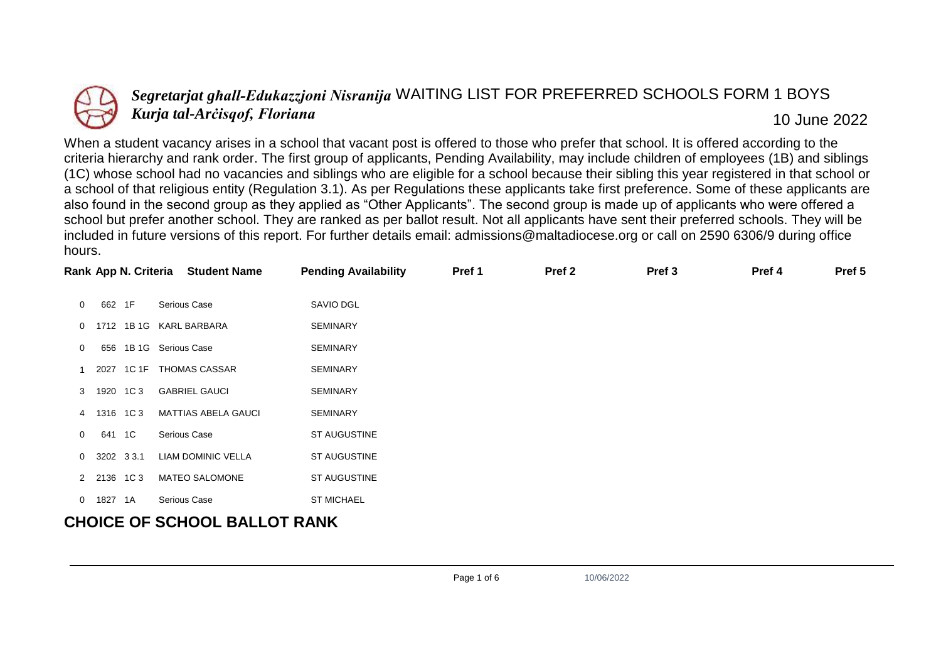

## *Segretarjat għall-Edukazzjoni Nisranija* WAITING LIST FOR PREFERRED SCHOOLS FORM 1 BOYS *Kurja tal-Arċisqof, Floriana* 10 June 2022

When a student vacancy arises in a school that vacant post is offered to those who prefer that school. It is offered according to the criteria hierarchy and rank order. The first group of applicants, Pending Availability, may include children of employees (1B) and siblings (1C) whose school had no vacancies and siblings who are eligible for a school because their sibling this year registered in that school or a school of that religious entity (Regulation 3.1). As per Regulations these applicants take first preference. Some of these applicants are also found in the second group as they applied as "Other Applicants". The second group is made up of applicants who were offered a school but prefer another school. They are ranked as per ballot result. Not all applicants have sent their preferred schools. They will be included in future versions of this report. For further details email: admissions@maltadiocese.org or call on 2590 6306/9 during office hours.

|                |               | Rank App N. Criteria Student Name | <b>Pending Availability</b> | Pref 1 | Pref <sub>2</sub> | Pref <sub>3</sub> | Pref 4 | Pref 5 |
|----------------|---------------|-----------------------------------|-----------------------------|--------|-------------------|-------------------|--------|--------|
| $\mathbf 0$    | 662 1F        | Serious Case                      | SAVIO DGL                   |        |                   |                   |        |        |
| 0              | 1712          | 1B 1G KARL BARBARA                | <b>SEMINARY</b>             |        |                   |                   |        |        |
| 0              |               | 656 1B 1G Serious Case            | <b>SEMINARY</b>             |        |                   |                   |        |        |
|                |               | 2027 1C 1F THOMAS CASSAR          | <b>SEMINARY</b>             |        |                   |                   |        |        |
|                | 3 1920 1C3    | <b>GABRIEL GAUCI</b>              | <b>SEMINARY</b>             |        |                   |                   |        |        |
|                | 4 1316 1C3    | <b>MATTIAS ABELA GAUCI</b>        | <b>SEMINARY</b>             |        |                   |                   |        |        |
| $\overline{0}$ | 641 1C        | Serious Case                      | ST AUGUSTINE                |        |                   |                   |        |        |
|                | $0$ 3202 33.1 | LIAM DOMINIC VELLA                | ST AUGUSTINE                |        |                   |                   |        |        |
|                | 2 2136 1C3    | <b>MATEO SALOMONE</b>             | ST AUGUSTINE                |        |                   |                   |        |        |
|                | 0 1827 1A     | Serious Case                      | <b>ST MICHAEL</b>           |        |                   |                   |        |        |
|                |               | AUAIAP AP AAUAAL BALLAT BALUZ     |                             |        |                   |                   |        |        |

## **CHOICE OF SCHOOL BALLOT RANK**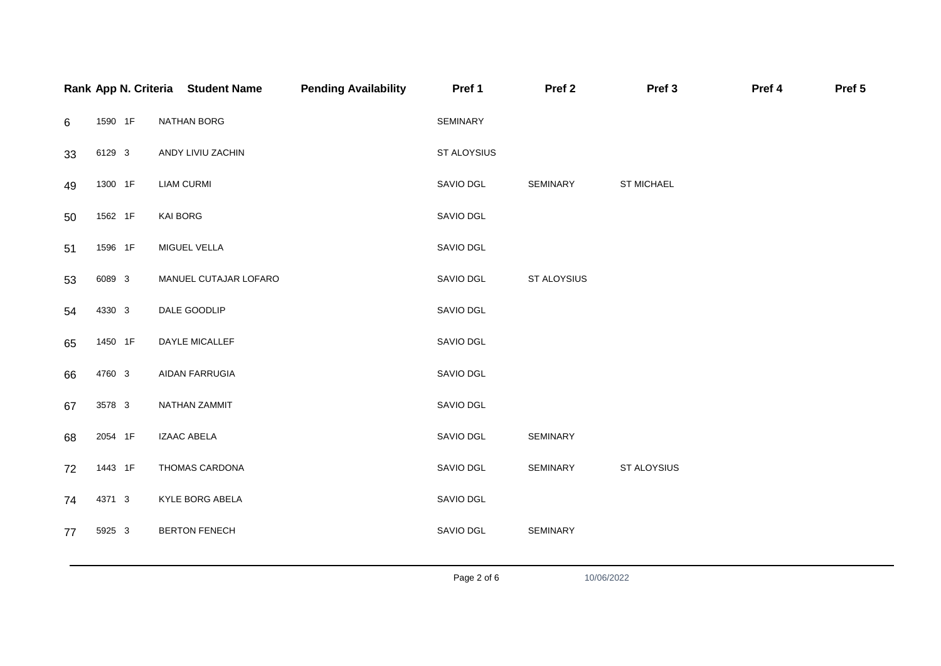|    |         | Rank App N. Criteria Student Name | <b>Pending Availability</b> | Pref 1      | Pref <sub>2</sub> | Pref 3      | Pref 4 | Pref 5 |
|----|---------|-----------------------------------|-----------------------------|-------------|-------------------|-------------|--------|--------|
| 6  | 1590 1F | NATHAN BORG                       |                             | SEMINARY    |                   |             |        |        |
| 33 | 6129 3  | ANDY LIVIU ZACHIN                 |                             | ST ALOYSIUS |                   |             |        |        |
| 49 | 1300 1F | <b>LIAM CURMI</b>                 |                             | SAVIO DGL   | SEMINARY          | ST MICHAEL  |        |        |
| 50 | 1562 1F | <b>KAI BORG</b>                   |                             | SAVIO DGL   |                   |             |        |        |
| 51 | 1596 1F | MIGUEL VELLA                      |                             | SAVIO DGL   |                   |             |        |        |
| 53 | 6089 3  | MANUEL CUTAJAR LOFARO             |                             | SAVIO DGL   | ST ALOYSIUS       |             |        |        |
| 54 | 4330 3  | DALE GOODLIP                      |                             | SAVIO DGL   |                   |             |        |        |
| 65 | 1450 1F | DAYLE MICALLEF                    |                             | SAVIO DGL   |                   |             |        |        |
| 66 | 4760 3  | AIDAN FARRUGIA                    |                             | SAVIO DGL   |                   |             |        |        |
| 67 | 3578 3  | NATHAN ZAMMIT                     |                             | SAVIO DGL   |                   |             |        |        |
| 68 | 2054 1F | <b>IZAAC ABELA</b>                |                             | SAVIO DGL   | SEMINARY          |             |        |        |
| 72 | 1443 1F | THOMAS CARDONA                    |                             | SAVIO DGL   | SEMINARY          | ST ALOYSIUS |        |        |
| 74 | 4371 3  | KYLE BORG ABELA                   |                             | SAVIO DGL   |                   |             |        |        |
| 77 | 5925 3  | <b>BERTON FENECH</b>              |                             | SAVIO DGL   | SEMINARY          |             |        |        |
|    |         |                                   |                             |             |                   |             |        |        |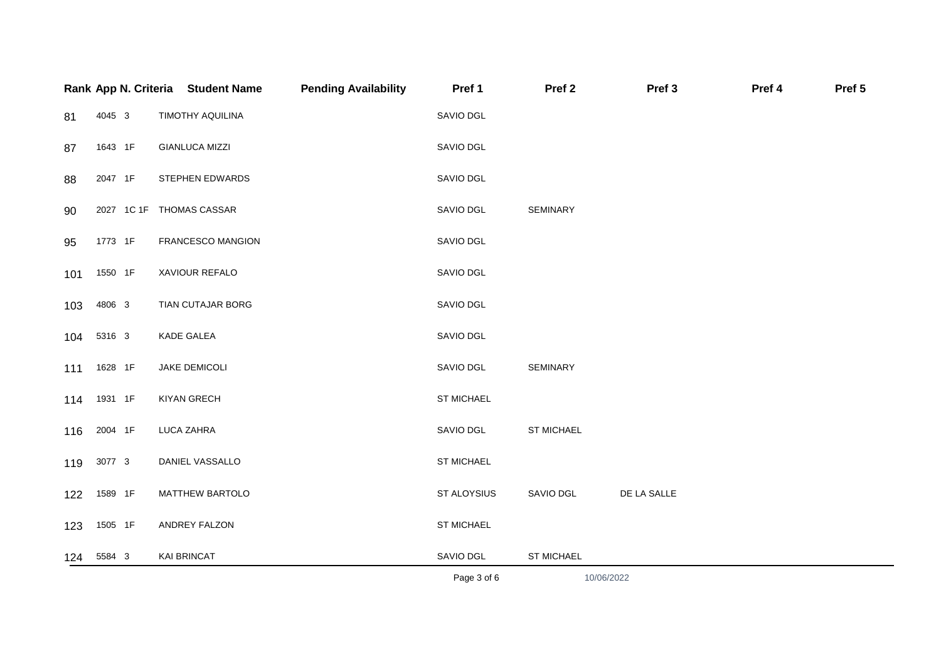|     |            | Rank App N. Criteria Student Name | <b>Pending Availability</b> | Pref 1      | Pref <sub>2</sub> | Pref <sub>3</sub> | Pref 4 | Pref 5 |
|-----|------------|-----------------------------------|-----------------------------|-------------|-------------------|-------------------|--------|--------|
| 81  | 4045 3     | TIMOTHY AQUILINA                  |                             | SAVIO DGL   |                   |                   |        |        |
| 87  | 1643 1F    | <b>GIANLUCA MIZZI</b>             |                             | SAVIO DGL   |                   |                   |        |        |
| 88  | 2047 1F    | STEPHEN EDWARDS                   |                             | SAVIO DGL   |                   |                   |        |        |
| 90  |            | 2027 1C 1F THOMAS CASSAR          |                             | SAVIO DGL   | SEMINARY          |                   |        |        |
| 95  | 1773 1F    | FRANCESCO MANGION                 |                             | SAVIO DGL   |                   |                   |        |        |
| 101 | 1550 1F    | XAVIOUR REFALO                    |                             | SAVIO DGL   |                   |                   |        |        |
| 103 | 4806 3     | TIAN CUTAJAR BORG                 |                             | SAVIO DGL   |                   |                   |        |        |
| 104 | 5316 3     | KADE GALEA                        |                             | SAVIO DGL   |                   |                   |        |        |
| 111 | 1628 1F    | JAKE DEMICOLI                     |                             | SAVIO DGL   | <b>SEMINARY</b>   |                   |        |        |
| 114 | 1931 1F    | KIYAN GRECH                       |                             | ST MICHAEL  |                   |                   |        |        |
| 116 | 2004 1F    | LUCA ZAHRA                        |                             | SAVIO DGL   | <b>ST MICHAEL</b> |                   |        |        |
|     | 119 3077 3 | DANIEL VASSALLO                   |                             | ST MICHAEL  |                   |                   |        |        |
| 122 | 1589 1F    | MATTHEW BARTOLO                   |                             | ST ALOYSIUS | SAVIO DGL         | DE LA SALLE       |        |        |
| 123 | 1505 1F    | ANDREY FALZON                     |                             | ST MICHAEL  |                   |                   |        |        |
| 124 | 5584 3     | KAI BRINCAT                       |                             | SAVIO DGL   | ST MICHAEL        |                   |        |        |
|     |            |                                   |                             | Page 3 of 6 |                   | 10/06/2022        |        |        |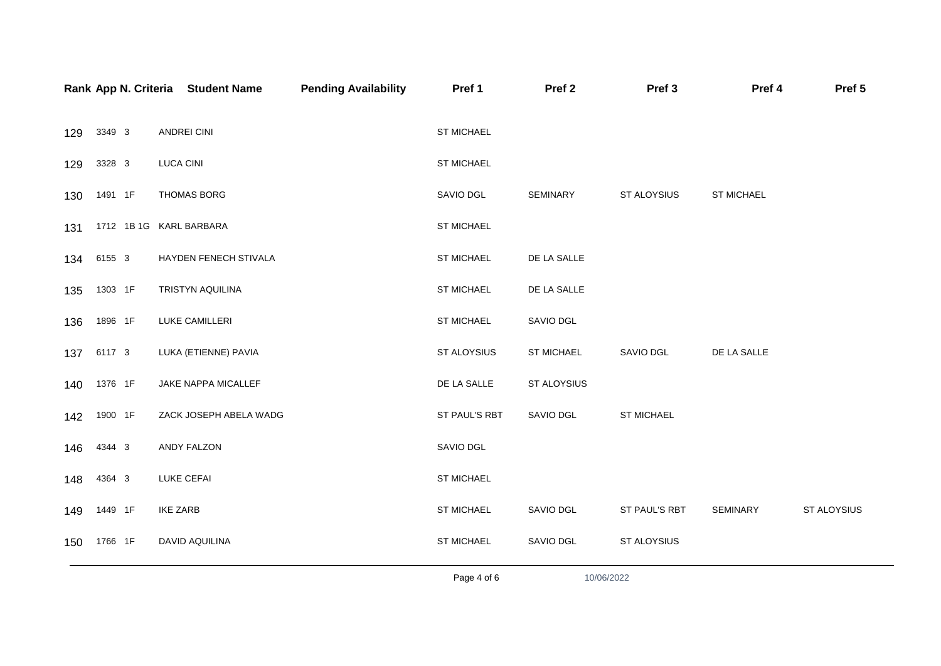|     |         | Rank App N. Criteria Student Name | <b>Pending Availability</b> | Pref 1            | Pref <sub>2</sub> | Pref <sub>3</sub> | Pref 4      | Pref 5      |
|-----|---------|-----------------------------------|-----------------------------|-------------------|-------------------|-------------------|-------------|-------------|
| 129 | 3349 3  | ANDREI CINI                       |                             | ST MICHAEL        |                   |                   |             |             |
| 129 | 3328 3  | <b>LUCA CINI</b>                  |                             | ST MICHAEL        |                   |                   |             |             |
| 130 | 1491 1F | THOMAS BORG                       |                             | SAVIO DGL         | SEMINARY          | ST ALOYSIUS       | ST MICHAEL  |             |
| 131 |         | 1712 1B 1G KARL BARBARA           |                             | ST MICHAEL        |                   |                   |             |             |
| 134 | 6155 3  | HAYDEN FENECH STIVALA             |                             | ST MICHAEL        | DE LA SALLE       |                   |             |             |
| 135 | 1303 1F | TRISTYN AQUILINA                  |                             | ST MICHAEL        | DE LA SALLE       |                   |             |             |
| 136 | 1896 1F | LUKE CAMILLERI                    |                             | ST MICHAEL        | SAVIO DGL         |                   |             |             |
| 137 | 6117 3  | LUKA (ETIENNE) PAVIA              |                             | ST ALOYSIUS       | ST MICHAEL        | SAVIO DGL         | DE LA SALLE |             |
| 140 | 1376 1F | JAKE NAPPA MICALLEF               |                             | DE LA SALLE       | ST ALOYSIUS       |                   |             |             |
| 142 | 1900 1F | ZACK JOSEPH ABELA WADG            |                             | ST PAUL'S RBT     | SAVIO DGL         | ST MICHAEL        |             |             |
| 146 | 4344 3  | ANDY FALZON                       |                             | SAVIO DGL         |                   |                   |             |             |
| 148 | 4364 3  | <b>LUKE CEFAI</b>                 |                             | ST MICHAEL        |                   |                   |             |             |
| 149 | 1449 1F | <b>IKE ZARB</b>                   |                             | <b>ST MICHAEL</b> | SAVIO DGL         | ST PAUL'S RBT     | SEMINARY    | ST ALOYSIUS |
| 150 | 1766 1F | DAVID AQUILINA                    |                             | ST MICHAEL        | SAVIO DGL         | ST ALOYSIUS       |             |             |
|     |         |                                   |                             | Page 4 of 6       | 10/06/2022        |                   |             |             |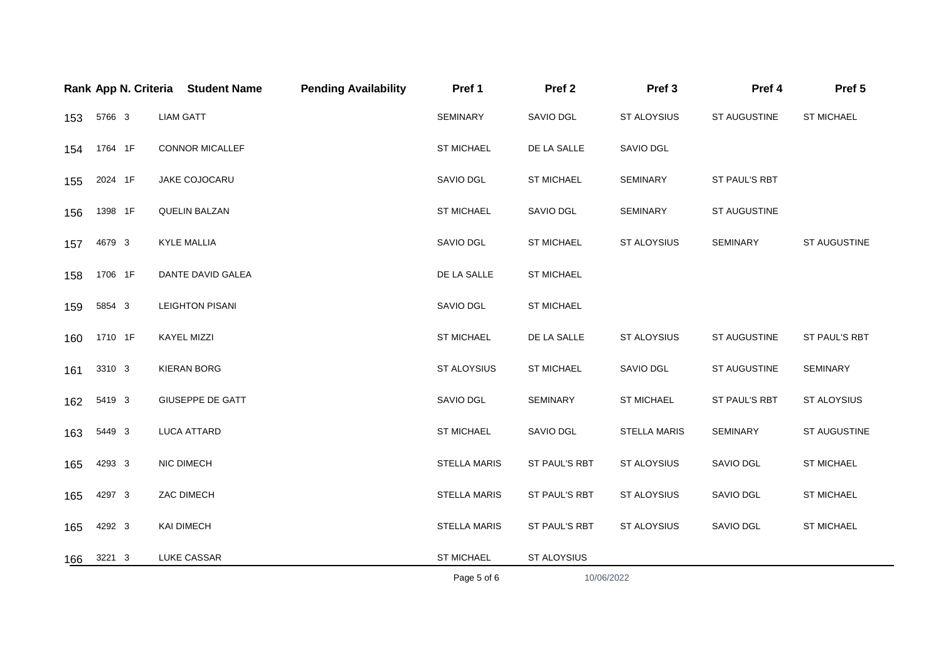|     |         | Rank App N. Criteria Student Name | <b>Pending Availability</b> | Pref 1              | Pref <sub>2</sub> | Pref <sub>3</sub>   | Pref 4        | Pref 5            |
|-----|---------|-----------------------------------|-----------------------------|---------------------|-------------------|---------------------|---------------|-------------------|
| 153 | 5766 3  | <b>LIAM GATT</b>                  |                             | <b>SEMINARY</b>     | SAVIO DGL         | ST ALOYSIUS         | ST AUGUSTINE  | <b>ST MICHAEL</b> |
| 154 | 1764 1F | <b>CONNOR MICALLEF</b>            |                             | <b>ST MICHAEL</b>   | DE LA SALLE       | SAVIO DGL           |               |                   |
| 155 | 2024 1F | JAKE COJOCARU                     |                             | SAVIO DGL           | <b>ST MICHAEL</b> | SEMINARY            | ST PAUL'S RBT |                   |
| 156 | 1398 1F | <b>QUELIN BALZAN</b>              |                             | <b>ST MICHAEL</b>   | SAVIO DGL         | <b>SEMINARY</b>     | ST AUGUSTINE  |                   |
| 157 | 4679 3  | <b>KYLE MALLIA</b>                |                             | SAVIO DGL           | <b>ST MICHAEL</b> | ST ALOYSIUS         | SEMINARY      | ST AUGUSTINE      |
| 158 | 1706 1F | DANTE DAVID GALEA                 |                             | DE LA SALLE         | <b>ST MICHAEL</b> |                     |               |                   |
| 159 | 5854 3  | <b>LEIGHTON PISANI</b>            |                             | SAVIO DGL           | <b>ST MICHAEL</b> |                     |               |                   |
| 160 | 1710 1F | <b>KAYEL MIZZI</b>                |                             | <b>ST MICHAEL</b>   | DE LA SALLE       | ST ALOYSIUS         | ST AUGUSTINE  | ST PAUL'S RBT     |
| 161 | 3310 3  | KIERAN BORG                       |                             | ST ALOYSIUS         | <b>ST MICHAEL</b> | SAVIO DGL           | ST AUGUSTINE  | SEMINARY          |
| 162 | 5419 3  | GIUSEPPE DE GATT                  |                             | SAVIO DGL           | SEMINARY          | ST MICHAEL          | ST PAUL'S RBT | ST ALOYSIUS       |
| 163 | 5449 3  | LUCA ATTARD                       |                             | <b>ST MICHAEL</b>   | SAVIO DGL         | <b>STELLA MARIS</b> | SEMINARY      | ST AUGUSTINE      |
| 165 | 4293 3  | NIC DIMECH                        |                             | <b>STELLA MARIS</b> | ST PAUL'S RBT     | <b>ST ALOYSIUS</b>  | SAVIO DGL     | <b>ST MICHAEL</b> |
| 165 | 4297 3  | ZAC DIMECH                        |                             | <b>STELLA MARIS</b> | ST PAUL'S RBT     | ST ALOYSIUS         | SAVIO DGL     | ST MICHAEL        |
| 165 | 4292 3  | <b>KAI DIMECH</b>                 |                             | <b>STELLA MARIS</b> | ST PAUL'S RBT     | ST ALOYSIUS         | SAVIO DGL     | <b>ST MICHAEL</b> |
| 166 | 3221 3  | LUKE CASSAR                       |                             | <b>ST MICHAEL</b>   | ST ALOYSIUS       |                     |               |                   |
|     |         |                                   |                             | Page 5 of 6         | 10/06/2022        |                     |               |                   |